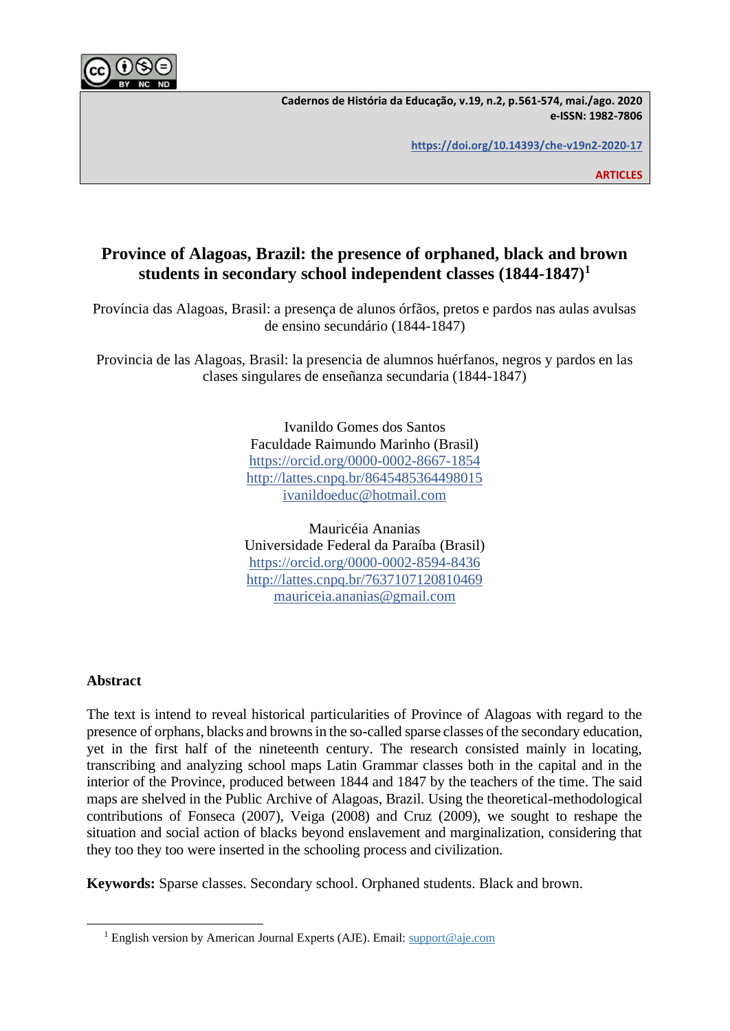

**Cadernos de História da Educação, v.19, n.2, p.561-574, mai./ago. 2020 e-ISSN: 1982-7806**

**<https://doi.org/10.14393/che-v19n2-2020-17>**

**ARTICLES**

# **Province of Alagoas, Brazil: the presence of orphaned, black and brown students in secondary school independent classes (1844-1847)<sup>1</sup>**

Província das Alagoas, Brasil: a presença de alunos órfãos, pretos e pardos nas aulas avulsas de ensino secundário (1844-1847)

Provincia de las Alagoas, Brasil: la presencia de alumnos huérfanos, negros y pardos en las clases singulares de enseñanza secundaria (1844-1847)

> Ivanildo Gomes dos Santos Faculdade Raimundo Marinho (Brasil) [https://orcid.org/0000-0002-8667-1854](https://orcid.org/0000-0002-8667-1854?lang=pt) <http://lattes.cnpq.br/8645485364498015> [ivanildoeduc@hotmail.com](mailto:ivanildoeduc@hotmail.com)

> Mauricéia Ananias Universidade Federal da Paraíba (Brasil) [https://orcid.org/0000-0002-8594-8436](https://orcid.org/0000-0002-8594-8436?lang=en) <http://lattes.cnpq.br/7637107120810469> [mauriceia.ananias@gmail.com](mailto:mauriceia.ananias@gmail.com)

### **Abstract**

The text is intend to reveal historical particularities of Province of Alagoas with regard to the presence of orphans, blacks and browns in the so-called sparse classes of the secondary education, yet in the first half of the nineteenth century. The research consisted mainly in locating, transcribing and analyzing school maps Latin Grammar classes both in the capital and in the interior of the Province, produced between 1844 and 1847 by the teachers of the time. The said maps are shelved in the Public Archive of Alagoas, Brazil. Using the theoretical-methodological contributions of Fonseca (2007), Veiga (2008) and Cruz (2009), we sought to reshape the situation and social action of blacks beyond enslavement and marginalization, considering that they too they too were inserted in the schooling process and civilization.

**Keywords:** Sparse classes. Secondary school. Orphaned students. Black and brown.

<sup>&</sup>lt;sup>1</sup> English version by American Journal Experts (AJE). Email[: support@aje.com](mailto:support@aje.com)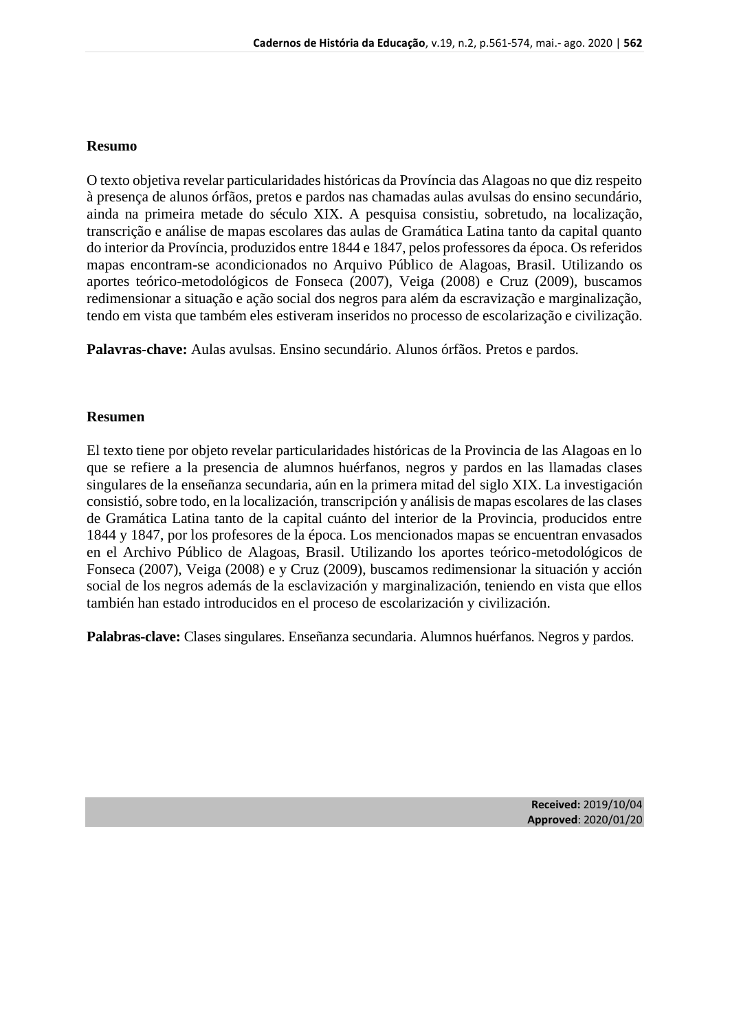### **Resumo**

O texto objetiva revelar particularidades históricas da Província das Alagoas no que diz respeito à presença de alunos órfãos, pretos e pardos nas chamadas aulas avulsas do ensino secundário, ainda na primeira metade do século XIX. A pesquisa consistiu, sobretudo, na localização, transcrição e análise de mapas escolares das aulas de Gramática Latina tanto da capital quanto do interior da Província, produzidos entre 1844 e 1847, pelos professores da época. Os referidos mapas encontram-se acondicionados no Arquivo Público de Alagoas, Brasil. Utilizando os aportes teórico-metodológicos de Fonseca (2007), Veiga (2008) e Cruz (2009), buscamos redimensionar a situação e ação social dos negros para além da escravização e marginalização, tendo em vista que também eles estiveram inseridos no processo de escolarização e civilização.

**Palavras-chave:** Aulas avulsas. Ensino secundário. Alunos órfãos. Pretos e pardos.

### **Resumen**

El texto tiene por objeto revelar particularidades históricas de la Provincia de las Alagoas en lo que se refiere a la presencia de alumnos huérfanos, negros y pardos en las llamadas clases singulares de la enseñanza secundaria, aún en la primera mitad del siglo XIX. La investigación consistió, sobre todo, en la localización, transcripción y análisis de mapas escolares de las clases de Gramática Latina tanto de la capital cuánto del interior de la Provincia, producidos entre 1844 y 1847, por los profesores de la época. Los mencionados mapas se encuentran envasados en el Archivo Público de Alagoas, Brasil. Utilizando los aportes teórico-metodológicos de Fonseca (2007), Veiga (2008) e y Cruz (2009), buscamos redimensionar la situación y acción social de los negros además de la esclavización y marginalización, teniendo en vista que ellos también han estado introducidos en el proceso de escolarización y civilización.

**Palabras-clave:** Clases singulares. Enseñanza secundaria. Alumnos huérfanos. Negros y pardos.

**Received:** 2019/10/04 **Approved**: 2020/01/20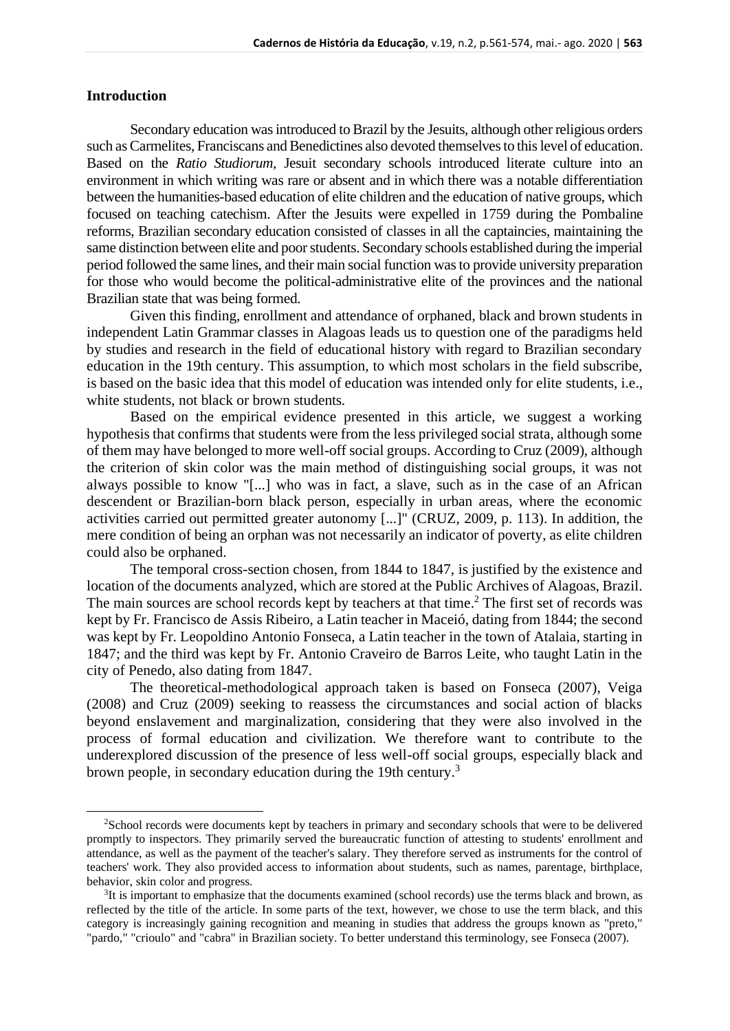### **Introduction**

Secondary education was introduced to Brazil by the Jesuits, although other religious orders such as Carmelites, Franciscans and Benedictines also devoted themselves to this level of education. Based on the *Ratio Studiorum,* Jesuit secondary schools introduced literate culture into an environment in which writing was rare or absent and in which there was a notable differentiation between the humanities-based education of elite children and the education of native groups, which focused on teaching catechism. After the Jesuits were expelled in 1759 during the Pombaline reforms, Brazilian secondary education consisted of classes in all the captaincies, maintaining the same distinction between elite and poor students. Secondary schools established during the imperial period followed the same lines, and their main social function was to provide university preparation for those who would become the political-administrative elite of the provinces and the national Brazilian state that was being formed.

Given this finding, enrollment and attendance of orphaned, black and brown students in independent Latin Grammar classes in Alagoas leads us to question one of the paradigms held by studies and research in the field of educational history with regard to Brazilian secondary education in the 19th century. This assumption, to which most scholars in the field subscribe, is based on the basic idea that this model of education was intended only for elite students, i.e., white students, not black or brown students.

Based on the empirical evidence presented in this article, we suggest a working hypothesis that confirms that students were from the less privileged social strata, although some of them may have belonged to more well-off social groups. According to Cruz (2009), although the criterion of skin color was the main method of distinguishing social groups, it was not always possible to know "[...] who was in fact, a slave, such as in the case of an African descendent or Brazilian-born black person, especially in urban areas, where the economic activities carried out permitted greater autonomy [...]" (CRUZ, 2009, p. 113). In addition, the mere condition of being an orphan was not necessarily an indicator of poverty, as elite children could also be orphaned.

The temporal cross-section chosen, from 1844 to 1847, is justified by the existence and location of the documents analyzed, which are stored at the Public Archives of Alagoas, Brazil. The main sources are school records kept by teachers at that time.<sup>2</sup> The first set of records was kept by Fr. Francisco de Assis Ribeiro, a Latin teacher in Maceió, dating from 1844; the second was kept by Fr. Leopoldino Antonio Fonseca, a Latin teacher in the town of Atalaia, starting in 1847; and the third was kept by Fr. Antonio Craveiro de Barros Leite, who taught Latin in the city of Penedo, also dating from 1847.

The theoretical-methodological approach taken is based on Fonseca (2007), Veiga (2008) and Cruz (2009) seeking to reassess the circumstances and social action of blacks beyond enslavement and marginalization, considering that they were also involved in the process of formal education and civilization. We therefore want to contribute to the underexplored discussion of the presence of less well-off social groups, especially black and brown people, in secondary education during the 19th century.<sup>3</sup>

<sup>2</sup>School records were documents kept by teachers in primary and secondary schools that were to be delivered promptly to inspectors. They primarily served the bureaucratic function of attesting to students' enrollment and attendance, as well as the payment of the teacher's salary. They therefore served as instruments for the control of teachers' work. They also provided access to information about students, such as names, parentage, birthplace, behavior, skin color and progress.

<sup>&</sup>lt;sup>3</sup>It is important to emphasize that the documents examined (school records) use the terms black and brown, as reflected by the title of the article. In some parts of the text, however, we chose to use the term black, and this category is increasingly gaining recognition and meaning in studies that address the groups known as "preto," "pardo," "crioulo" and "cabra" in Brazilian society. To better understand this terminology, see Fonseca (2007).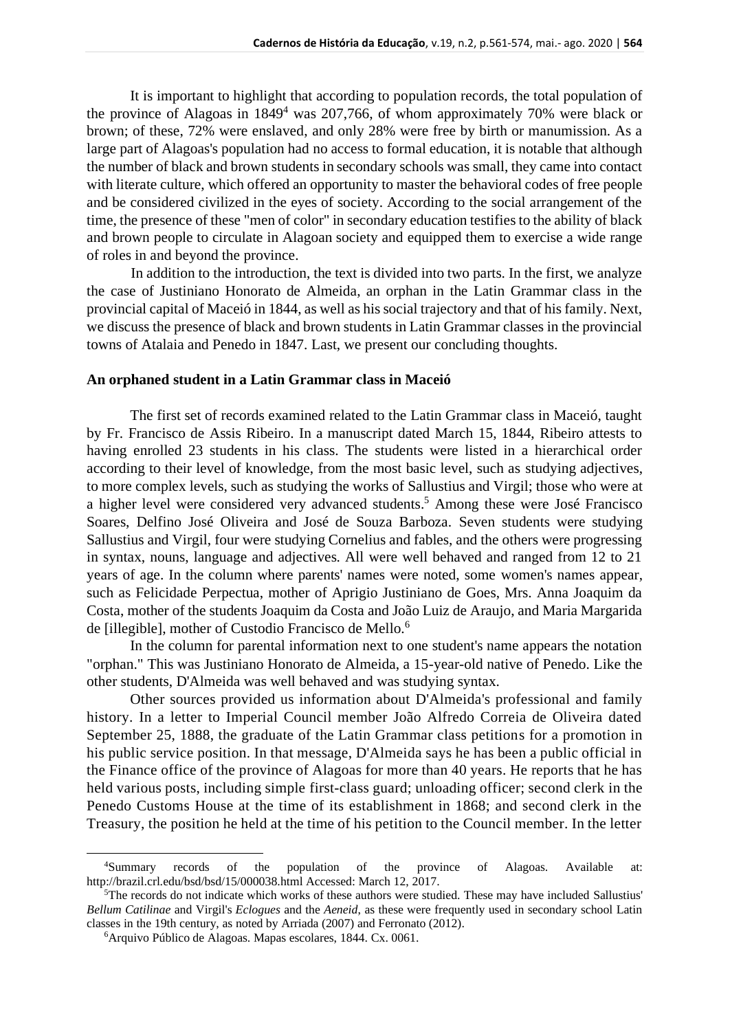It is important to highlight that according to population records, the total population of the province of Alagoas in  $1849<sup>4</sup>$  was 207,766, of whom approximately 70% were black or brown; of these, 72% were enslaved, and only 28% were free by birth or manumission. As a large part of Alagoas's population had no access to formal education, it is notable that although the number of black and brown students in secondary schools was small, they came into contact with literate culture, which offered an opportunity to master the behavioral codes of free people and be considered civilized in the eyes of society. According to the social arrangement of the time, the presence of these "men of color" in secondary education testifies to the ability of black and brown people to circulate in Alagoan society and equipped them to exercise a wide range of roles in and beyond the province.

In addition to the introduction, the text is divided into two parts. In the first, we analyze the case of Justiniano Honorato de Almeida, an orphan in the Latin Grammar class in the provincial capital of Maceió in 1844, as well as his social trajectory and that of his family. Next, we discuss the presence of black and brown students in Latin Grammar classes in the provincial towns of Atalaia and Penedo in 1847. Last, we present our concluding thoughts.

#### **An orphaned student in a Latin Grammar class in Maceió**

The first set of records examined related to the Latin Grammar class in Maceió, taught by Fr. Francisco de Assis Ribeiro. In a manuscript dated March 15, 1844, Ribeiro attests to having enrolled 23 students in his class. The students were listed in a hierarchical order according to their level of knowledge, from the most basic level, such as studying adjectives, to more complex levels, such as studying the works of Sallustius and Virgil; those who were at a higher level were considered very advanced students. <sup>5</sup> Among these were José Francisco Soares, Delfino José Oliveira and José de Souza Barboza. Seven students were studying Sallustius and Virgil, four were studying Cornelius and fables, and the others were progressing in syntax, nouns, language and adjectives. All were well behaved and ranged from 12 to 21 years of age. In the column where parents' names were noted, some women's names appear, such as Felicidade Perpectua, mother of Aprigio Justiniano de Goes, Mrs. Anna Joaquim da Costa, mother of the students Joaquim da Costa and João Luiz de Araujo, and Maria Margarida de [illegible], mother of Custodio Francisco de Mello.<sup>6</sup>

In the column for parental information next to one student's name appears the notation "orphan." This was Justiniano Honorato de Almeida, a 15-year-old native of Penedo. Like the other students, D'Almeida was well behaved and was studying syntax.

Other sources provided us information about D'Almeida's professional and family history. In a letter to Imperial Council member João Alfredo Correia de Oliveira dated September 25, 1888, the graduate of the Latin Grammar class petitions for a promotion in his public service position. In that message, D'Almeida says he has been a public official in the Finance office of the province of Alagoas for more than 40 years. He reports that he has held various posts, including simple first-class guard; unloading officer; second clerk in the Penedo Customs House at the time of its establishment in 1868; and second clerk in the Treasury, the position he held at the time of his petition to the Council member. In the letter

<sup>4</sup>Summary records of the population of the province of Alagoas. Available at: http://brazil.crl.edu/bsd/bsd/15/000038.html Accessed: March 12, 2017.

<sup>&</sup>lt;sup>5</sup>The records do not indicate which works of these authors were studied. These may have included Sallustius' *Bellum Catilinae* and Virgil's *Eclogues* and the *Aeneid*, as these were frequently used in secondary school Latin classes in the 19th century, as noted by Arriada (2007) and Ferronato (2012).

<sup>6</sup>Arquivo Público de Alagoas. Mapas escolares, 1844. Cx. 0061.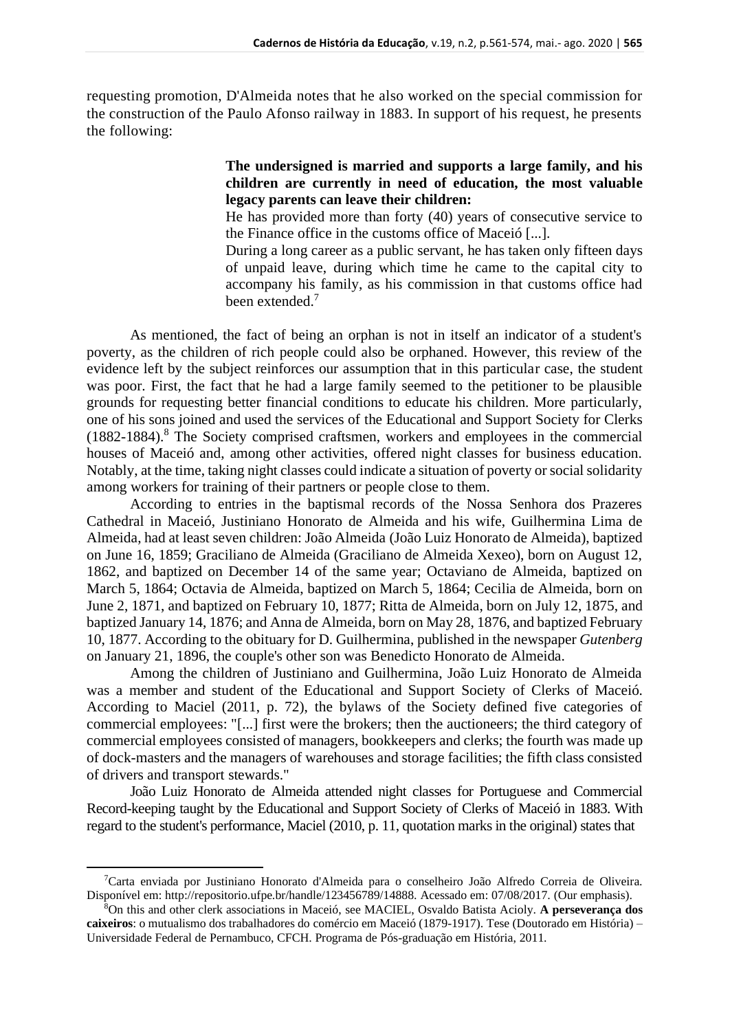requesting promotion, D'Almeida notes that he also worked on the special commission for the construction of the Paulo Afonso railway in 1883. In support of his request, he presents the following:

### **The undersigned is married and supports a large family, and his children are currently in need of education, the most valuable legacy parents can leave their children:**

He has provided more than forty (40) years of consecutive service to the Finance office in the customs office of Maceió [...].

During a long career as a public servant, he has taken only fifteen days of unpaid leave, during which time he came to the capital city to accompany his family, as his commission in that customs office had been extended.<sup>7</sup>

As mentioned, the fact of being an orphan is not in itself an indicator of a student's poverty, as the children of rich people could also be orphaned. However, this review of the evidence left by the subject reinforces our assumption that in this particular case, the student was poor. First, the fact that he had a large family seemed to the petitioner to be plausible grounds for requesting better financial conditions to educate his children. More particularly, one of his sons joined and used the services of the Educational and Support Society for Clerks  $(1882-1884).$ <sup>8</sup> The Society comprised craftsmen, workers and employees in the commercial houses of Maceió and, among other activities, offered night classes for business education. Notably, at the time, taking night classes could indicate a situation of poverty or social solidarity among workers for training of their partners or people close to them.

According to entries in the baptismal records of the Nossa Senhora dos Prazeres Cathedral in Maceió, Justiniano Honorato de Almeida and his wife, Guilhermina Lima de Almeida, had at least seven children: João Almeida (João Luiz Honorato de Almeida), baptized on June 16, 1859; Graciliano de Almeida (Graciliano de Almeida Xexeo), born on August 12, 1862, and baptized on December 14 of the same year; Octaviano de Almeida, baptized on March 5, 1864; Octavia de Almeida, baptized on March 5, 1864; Cecilia de Almeida, born on June 2, 1871, and baptized on February 10, 1877; Ritta de Almeida, born on July 12, 1875, and baptized January 14, 1876; and Anna de Almeida, born on May 28, 1876, and baptized February 10, 1877. According to the obituary for D. Guilhermina, published in the newspaper *Gutenberg* on January 21, 1896, the couple's other son was Benedicto Honorato de Almeida.

Among the children of Justiniano and Guilhermina, João Luiz Honorato de Almeida was a member and student of the Educational and Support Society of Clerks of Maceió. According to Maciel (2011, p. 72), the bylaws of the Society defined five categories of commercial employees: "[...] first were the brokers; then the auctioneers; the third category of commercial employees consisted of managers, bookkeepers and clerks; the fourth was made up of dock-masters and the managers of warehouses and storage facilities; the fifth class consisted of drivers and transport stewards."

João Luiz Honorato de Almeida attended night classes for Portuguese and Commercial Record-keeping taught by the Educational and Support Society of Clerks of Maceió in 1883. With regard to the student's performance, Maciel (2010, p. 11, quotation marks in the original) states that

<sup>7</sup>Carta enviada por Justiniano Honorato d'Almeida para o conselheiro João Alfredo Correia de Oliveira. Disponível em: http://repositorio.ufpe.br/handle/123456789/14888. Acessado em: 07/08/2017. (Our emphasis).

<sup>8</sup>On this and other clerk associations in Maceió, see MACIEL, Osvaldo Batista Acioly. **A perseverança dos caixeiros**: o mutualismo dos trabalhadores do comércio em Maceió (1879-1917). Tese (Doutorado em História) – Universidade Federal de Pernambuco, CFCH. Programa de Pós-graduação em História, 2011.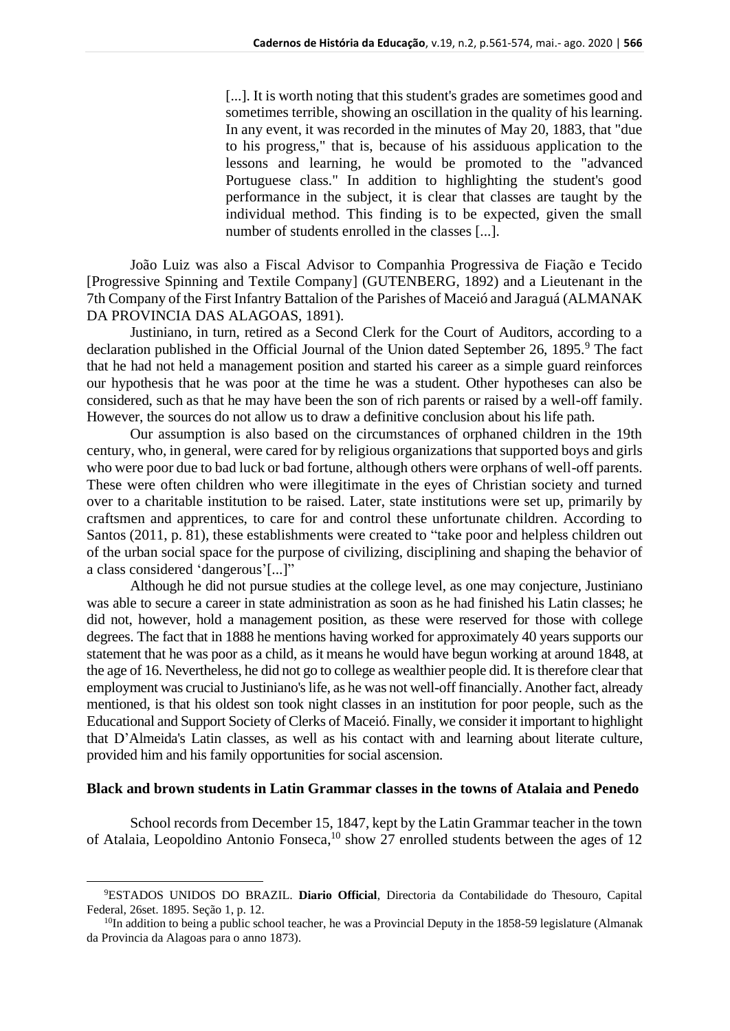[...]. It is worth noting that this student's grades are sometimes good and sometimes terrible, showing an oscillation in the quality of his learning. In any event, it was recorded in the minutes of May 20, 1883, that "due to his progress," that is, because of his assiduous application to the lessons and learning, he would be promoted to the "advanced Portuguese class." In addition to highlighting the student's good performance in the subject, it is clear that classes are taught by the individual method. This finding is to be expected, given the small number of students enrolled in the classes [...].

João Luiz was also a Fiscal Advisor to Companhia Progressiva de Fiação e Tecido [Progressive Spinning and Textile Company] (GUTENBERG, 1892) and a Lieutenant in the 7th Company of the First Infantry Battalion of the Parishes of Maceió and Jaraguá (ALMANAK DA PROVINCIA DAS ALAGOAS, 1891).

Justiniano, in turn, retired as a Second Clerk for the Court of Auditors, according to a declaration published in the Official Journal of the Union dated September 26,  $1895.9$ <sup>9</sup> The fact that he had not held a management position and started his career as a simple guard reinforces our hypothesis that he was poor at the time he was a student. Other hypotheses can also be considered, such as that he may have been the son of rich parents or raised by a well-off family. However, the sources do not allow us to draw a definitive conclusion about his life path.

Our assumption is also based on the circumstances of orphaned children in the 19th century, who, in general, were cared for by religious organizations that supported boys and girls who were poor due to bad luck or bad fortune, although others were orphans of well-off parents. These were often children who were illegitimate in the eyes of Christian society and turned over to a charitable institution to be raised. Later, state institutions were set up, primarily by craftsmen and apprentices, to care for and control these unfortunate children. According to Santos (2011, p. 81), these establishments were created to "take poor and helpless children out of the urban social space for the purpose of civilizing, disciplining and shaping the behavior of a class considered 'dangerous'[...]"

Although he did not pursue studies at the college level, as one may conjecture, Justiniano was able to secure a career in state administration as soon as he had finished his Latin classes; he did not, however, hold a management position, as these were reserved for those with college degrees. The fact that in 1888 he mentions having worked for approximately 40 years supports our statement that he was poor as a child, as it means he would have begun working at around 1848, at the age of 16. Nevertheless, he did not go to college as wealthier people did. It is therefore clear that employment was crucial to Justiniano's life, as he was not well-off financially. Another fact, already mentioned, is that his oldest son took night classes in an institution for poor people, such as the Educational and Support Society of Clerks of Maceió. Finally, we consider it important to highlight that D'Almeida's Latin classes, as well as his contact with and learning about literate culture, provided him and his family opportunities for social ascension.

#### **Black and brown students in Latin Grammar classes in the towns of Atalaia and Penedo**

School records from December 15, 1847, kept by the Latin Grammar teacher in the town of Atalaia, Leopoldino Antonio Fonseca,<sup>10</sup> show 27 enrolled students between the ages of 12

<sup>9</sup>ESTADOS UNIDOS DO BRAZIL. **Diario Official**, Directoria da Contabilidade do Thesouro, Capital Federal, 26set. 1895. Seção 1, p. 12.

 $10$ In addition to being a public school teacher, he was a Provincial Deputy in the 1858-59 legislature (Almanak da Provincia da Alagoas para o anno 1873).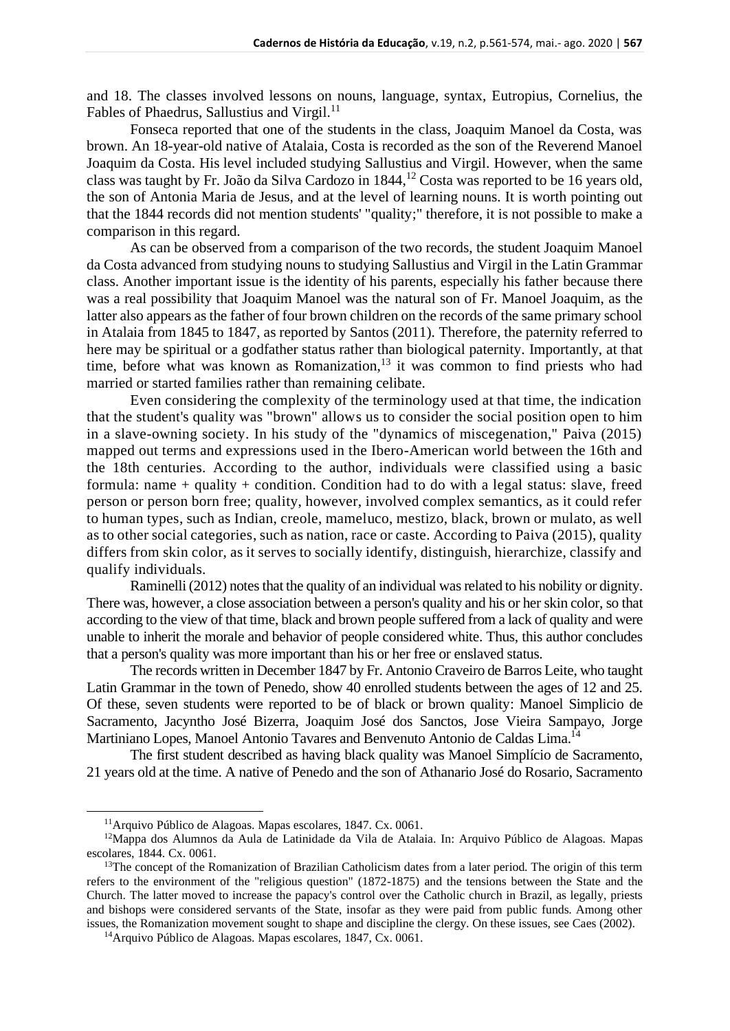and 18. The classes involved lessons on nouns, language, syntax, Eutropius, Cornelius, the Fables of Phaedrus, Sallustius and Virgil.<sup>11</sup>

Fonseca reported that one of the students in the class, Joaquim Manoel da Costa, was brown. An 18-year-old native of Atalaia, Costa is recorded as the son of the Reverend Manoel Joaquim da Costa. His level included studying Sallustius and Virgil. However, when the same class was taught by Fr. João da Silva Cardozo in 1844,<sup>12</sup> Costa was reported to be 16 years old, the son of Antonia Maria de Jesus, and at the level of learning nouns. It is worth pointing out that the 1844 records did not mention students' "quality;" therefore, it is not possible to make a comparison in this regard.

As can be observed from a comparison of the two records, the student Joaquim Manoel da Costa advanced from studying nouns to studying Sallustius and Virgil in the Latin Grammar class. Another important issue is the identity of his parents, especially his father because there was a real possibility that Joaquim Manoel was the natural son of Fr. Manoel Joaquim, as the latter also appears as the father of four brown children on the records of the same primary school in Atalaia from 1845 to 1847, as reported by Santos (2011). Therefore, the paternity referred to here may be spiritual or a godfather status rather than biological paternity. Importantly, at that time, before what was known as Romanization, $13$  it was common to find priests who had married or started families rather than remaining celibate.

Even considering the complexity of the terminology used at that time, the indication that the student's quality was "brown" allows us to consider the social position open to him in a slave-owning society. In his study of the "dynamics of miscegenation," Paiva (2015) mapped out terms and expressions used in the Ibero-American world between the 16th and the 18th centuries. According to the author, individuals were classified using a basic formula: name + quality + condition. Condition had to do with a legal status: slave, freed person or person born free; quality, however, involved complex semantics, as it could refer to human types, such as Indian, creole, mameluco, mestizo, black, brown or mulato, as well as to other social categories, such as nation, race or caste. According to Paiva (2015), quality differs from skin color, as it serves to socially identify, distinguish, hierarchize, classify and qualify individuals.

Raminelli (2012) notes that the quality of an individual was related to his nobility or dignity. There was, however, a close association between a person's quality and his or her skin color, so that according to the view of that time, black and brown people suffered from a lack of quality and were unable to inherit the morale and behavior of people considered white. Thus, this author concludes that a person's quality was more important than his or her free or enslaved status.

The records written in December 1847 by Fr. Antonio Craveiro de Barros Leite, who taught Latin Grammar in the town of Penedo, show 40 enrolled students between the ages of 12 and 25. Of these, seven students were reported to be of black or brown quality: Manoel Simplicio de Sacramento, Jacyntho José Bizerra, Joaquim José dos Sanctos, Jose Vieira Sampayo, Jorge Martiniano Lopes, Manoel Antonio Tavares and Benvenuto Antonio de Caldas Lima.<sup>14</sup>

The first student described as having black quality was Manoel Simplício de Sacramento, 21 years old at the time. A native of Penedo and the son of Athanario José do Rosario, Sacramento

<sup>11</sup>Arquivo Público de Alagoas. Mapas escolares, 1847. Cx. 0061.

<sup>12</sup>Mappa dos Alumnos da Aula de Latinidade da Vila de Atalaia. In: Arquivo Público de Alagoas. Mapas escolares, 1844. Cx. 0061.

<sup>&</sup>lt;sup>13</sup>The concept of the Romanization of Brazilian Catholicism dates from a later period. The origin of this term refers to the environment of the "religious question" (1872-1875) and the tensions between the State and the Church. The latter moved to increase the papacy's control over the Catholic church in Brazil, as legally, priests and bishops were considered servants of the State, insofar as they were paid from public funds. Among other issues, the Romanization movement sought to shape and discipline the clergy. On these issues, see Caes (2002).

<sup>14</sup>Arquivo Público de Alagoas. Mapas escolares, 1847, Cx. 0061.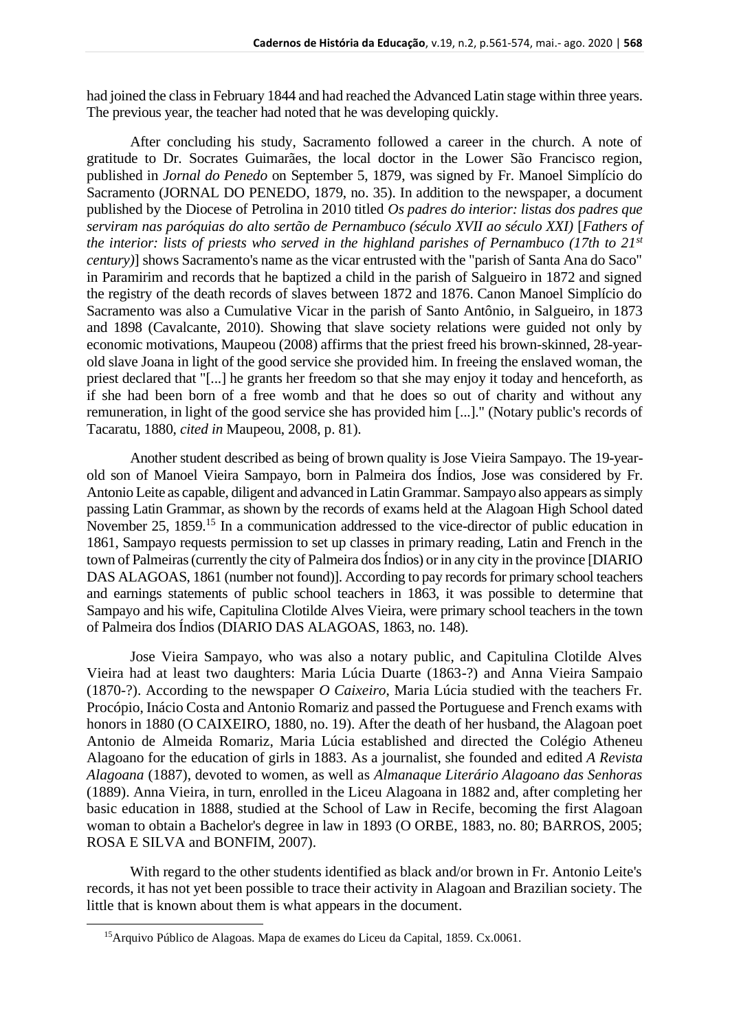had joined the class in February 1844 and had reached the Advanced Latin stage within three years. The previous year, the teacher had noted that he was developing quickly.

After concluding his study, Sacramento followed a career in the church. A note of gratitude to Dr. Socrates Guimarães, the local doctor in the Lower São Francisco region, published in *Jornal do Penedo* on September 5, 1879, was signed by Fr. Manoel Simplício do Sacramento (JORNAL DO PENEDO, 1879, no. 35). In addition to the newspaper, a document published by the Diocese of Petrolina in 2010 titled *Os padres do interior: listas dos padres que serviram nas paróquias do alto sertão de Pernambuco (século XVII ao século XXI)* [*Fathers of the interior: lists of priests who served in the highland parishes of Pernambuco (17th to 21st century)*] shows Sacramento's name as the vicar entrusted with the "parish of Santa Ana do Saco" in Paramirim and records that he baptized a child in the parish of Salgueiro in 1872 and signed the registry of the death records of slaves between 1872 and 1876. Canon Manoel Simplício do Sacramento was also a Cumulative Vicar in the parish of Santo Antônio, in Salgueiro, in 1873 and 1898 (Cavalcante, 2010). Showing that slave society relations were guided not only by economic motivations, Maupeou (2008) affirms that the priest freed his brown-skinned, 28-yearold slave Joana in light of the good service she provided him. In freeing the enslaved woman, the priest declared that "[...] he grants her freedom so that she may enjoy it today and henceforth, as if she had been born of a free womb and that he does so out of charity and without any remuneration, in light of the good service she has provided him [...]." (Notary public's records of Tacaratu, 1880, *cited in* Maupeou, 2008, p. 81).

Another student described as being of brown quality is Jose Vieira Sampayo. The 19-yearold son of Manoel Vieira Sampayo, born in Palmeira dos Índios, Jose was considered by Fr. Antonio Leite as capable, diligent and advanced in Latin Grammar. Sampayo also appears as simply passing Latin Grammar, as shown by the records of exams held at the Alagoan High School dated November 25, 1859.<sup>15</sup> In a communication addressed to the vice-director of public education in 1861, Sampayo requests permission to set up classes in primary reading, Latin and French in the town of Palmeiras (currently the city of Palmeira dos Índios) or in any city in the province [DIARIO DAS ALAGOAS, 1861 (number not found)]. According to pay records for primary school teachers and earnings statements of public school teachers in 1863, it was possible to determine that Sampayo and his wife, Capitulina Clotilde Alves Vieira, were primary school teachers in the town of Palmeira dos Índios (DIARIO DAS ALAGOAS, 1863, no. 148).

Jose Vieira Sampayo, who was also a notary public, and Capitulina Clotilde Alves Vieira had at least two daughters: Maria Lúcia Duarte (1863-?) and Anna Vieira Sampaio (1870-?). According to the newspaper *O Caixeiro*, Maria Lúcia studied with the teachers Fr. Procópio, Inácio Costa and Antonio Romariz and passed the Portuguese and French exams with honors in 1880 (O CAIXEIRO, 1880, no. 19). After the death of her husband, the Alagoan poet Antonio de Almeida Romariz, Maria Lúcia established and directed the Colégio Atheneu Alagoano for the education of girls in 1883. As a journalist, she founded and edited *A Revista Alagoana* (1887), devoted to women, as well as *Almanaque Literário Alagoano das Senhoras* (1889). Anna Vieira, in turn, enrolled in the Liceu Alagoana in 1882 and, after completing her basic education in 1888, studied at the School of Law in Recife, becoming the first Alagoan woman to obtain a Bachelor's degree in law in 1893 (O ORBE, 1883, no. 80; BARROS, 2005; ROSA E SILVA and BONFIM, 2007).

With regard to the other students identified as black and/or brown in Fr. Antonio Leite's records, it has not yet been possible to trace their activity in Alagoan and Brazilian society. The little that is known about them is what appears in the document.

<sup>15</sup>Arquivo Público de Alagoas. Mapa de exames do Liceu da Capital, 1859. Cx.0061.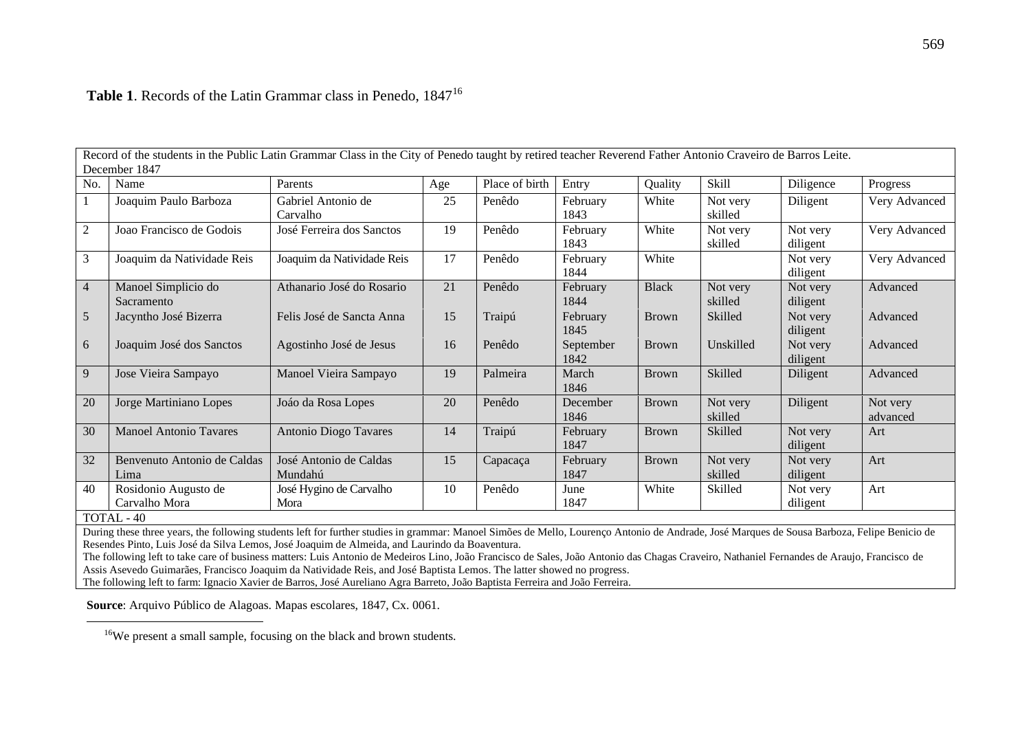| Record of the students in the Public Latin Grammar Class in the City of Penedo taught by retired teacher Reverend Father Antonio Craveiro de Barros Leite. |                                                     |                                   |     |                |                   |              |                     |                      |                      |  |
|------------------------------------------------------------------------------------------------------------------------------------------------------------|-----------------------------------------------------|-----------------------------------|-----|----------------|-------------------|--------------|---------------------|----------------------|----------------------|--|
| December 1847                                                                                                                                              |                                                     |                                   |     |                |                   |              |                     |                      |                      |  |
| No.                                                                                                                                                        | Name                                                | Parents                           | Age | Place of birth | Entry             | Quality      | Skill               | Diligence            | Progress             |  |
|                                                                                                                                                            | Joaquim Paulo Barboza                               | Gabriel Antonio de<br>Carvalho    | 25  | Penêdo         | February<br>1843  | White        | Not very<br>skilled | Diligent             | Very Advanced        |  |
| $\sqrt{2}$                                                                                                                                                 | Joao Francisco de Godois                            | José Ferreira dos Sanctos         | 19  | Penêdo         | February<br>1843  | White        | Not very<br>skilled | Not very<br>diligent | Very Advanced        |  |
| 3                                                                                                                                                          | Joaquim da Natividade Reis                          | Joaquim da Natividade Reis        | 17  | Penêdo         | February<br>1844  | White        |                     | Not very<br>diligent | Very Advanced        |  |
| $\overline{4}$                                                                                                                                             | Manoel Simplicio do<br>Sacramento                   | Athanario José do Rosario         | 21  | Penêdo         | February<br>1844  | <b>Black</b> | Not very<br>skilled | Not very<br>diligent | Advanced             |  |
| 5                                                                                                                                                          | Jacyntho José Bizerra                               | Felis José de Sancta Anna         | 15  | Traipú         | February<br>1845  | <b>Brown</b> | Skilled             | Not very<br>diligent | Advanced             |  |
| 6                                                                                                                                                          | Joaquim José dos Sanctos                            | Agostinho José de Jesus           | 16  | Penêdo         | September<br>1842 | <b>Brown</b> | Unskilled           | Not very<br>diligent | Advanced             |  |
| 9                                                                                                                                                          | Jose Vieira Sampayo                                 | Manoel Vieira Sampayo             | 19  | Palmeira       | March<br>1846     | <b>Brown</b> | Skilled             | Diligent             | Advanced             |  |
| 20                                                                                                                                                         | Jorge Martiniano Lopes                              | Joáo da Rosa Lopes                | 20  | Penêdo         | December<br>1846  | <b>Brown</b> | Not very<br>skilled | Diligent             | Not very<br>advanced |  |
| 30                                                                                                                                                         | <b>Manoel Antonio Tavares</b>                       | <b>Antonio Diogo Tavares</b>      | 14  | Traipú         | February<br>1847  | <b>Brown</b> | Skilled             | Not very<br>diligent | Art                  |  |
| 32                                                                                                                                                         | Benvenuto Antonio de Caldas<br>Lima                 | José Antonio de Caldas<br>Mundahú | 15  | Capacaça       | February<br>1847  | <b>Brown</b> | Not very<br>skilled | Not very<br>diligent | Art                  |  |
| 40                                                                                                                                                         | Rosidonio Augusto de<br>Carvalho Mora<br>TOTAL - 40 | José Hygino de Carvalho<br>Mora   | 10  | Penêdo         | June<br>1847      | White        | Skilled             | Not very<br>diligent | Art                  |  |
|                                                                                                                                                            |                                                     |                                   |     |                |                   |              |                     |                      |                      |  |

## Table 1. Records of the Latin Grammar class in Penedo, 1847<sup>16</sup>

During these three years, the following students left for further studies in grammar: Manoel Simões de Mello, Lourenço Antonio de Andrade, José Marques de Sousa Barboza, Felipe Benicio de Resendes Pinto, Luis José da Silva Lemos, José Joaquim de Almeida, and Laurindo da Boaventura.

The following left to take care of business matters: Luis Antonio de Medeiros Lino, João Francisco de Sales, João Antonio das Chagas Craveiro, Nathaniel Fernandes de Araujo, Francisco de Assis Asevedo Guimarães, Francisco Joaquim da Natividade Reis, and José Baptista Lemos. The latter showed no progress.

The following left to farm: Ignacio Xavier de Barros, José Aureliano Agra Barreto, João Baptista Ferreira and João Ferreira.

**Source**: Arquivo Público de Alagoas. Mapas escolares, 1847, Cx. 0061.

16We present a small sample, focusing on the black and brown students.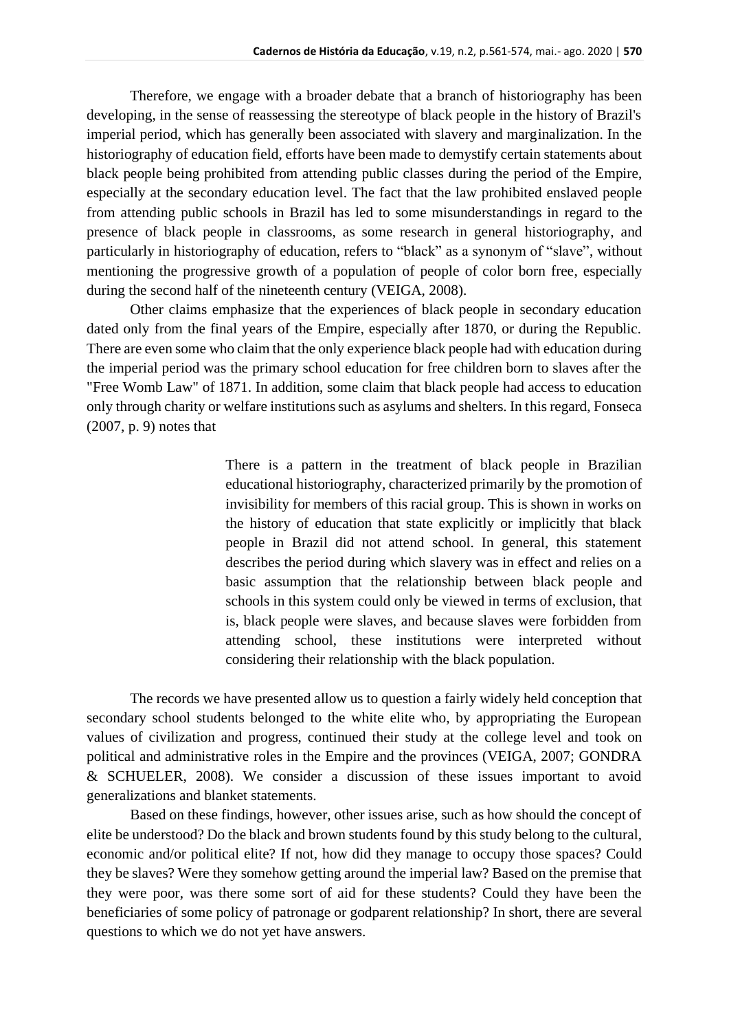Therefore, we engage with a broader debate that a branch of historiography has been developing, in the sense of reassessing the stereotype of black people in the history of Brazil's imperial period, which has generally been associated with slavery and marginalization. In the historiography of education field, efforts have been made to demystify certain statements about black people being prohibited from attending public classes during the period of the Empire, especially at the secondary education level. The fact that the law prohibited enslaved people from attending public schools in Brazil has led to some misunderstandings in regard to the presence of black people in classrooms, as some research in general historiography, and particularly in historiography of education, refers to "black" as a synonym of "slave", without mentioning the progressive growth of a population of people of color born free, especially during the second half of the nineteenth century (VEIGA, 2008).

Other claims emphasize that the experiences of black people in secondary education dated only from the final years of the Empire, especially after 1870, or during the Republic. There are even some who claim that the only experience black people had with education during the imperial period was the primary school education for free children born to slaves after the "Free Womb Law" of 1871. In addition, some claim that black people had access to education only through charity or welfare institutions such as asylums and shelters. In this regard, Fonseca (2007, p. 9) notes that

> There is a pattern in the treatment of black people in Brazilian educational historiography, characterized primarily by the promotion of invisibility for members of this racial group. This is shown in works on the history of education that state explicitly or implicitly that black people in Brazil did not attend school. In general, this statement describes the period during which slavery was in effect and relies on a basic assumption that the relationship between black people and schools in this system could only be viewed in terms of exclusion, that is, black people were slaves, and because slaves were forbidden from attending school, these institutions were interpreted without considering their relationship with the black population.

The records we have presented allow us to question a fairly widely held conception that secondary school students belonged to the white elite who, by appropriating the European values of civilization and progress, continued their study at the college level and took on political and administrative roles in the Empire and the provinces (VEIGA, 2007; GONDRA & SCHUELER, 2008). We consider a discussion of these issues important to avoid generalizations and blanket statements.

Based on these findings, however, other issues arise, such as how should the concept of elite be understood? Do the black and brown students found by this study belong to the cultural, economic and/or political elite? If not, how did they manage to occupy those spaces? Could they be slaves? Were they somehow getting around the imperial law? Based on the premise that they were poor, was there some sort of aid for these students? Could they have been the beneficiaries of some policy of patronage or godparent relationship? In short, there are several questions to which we do not yet have answers.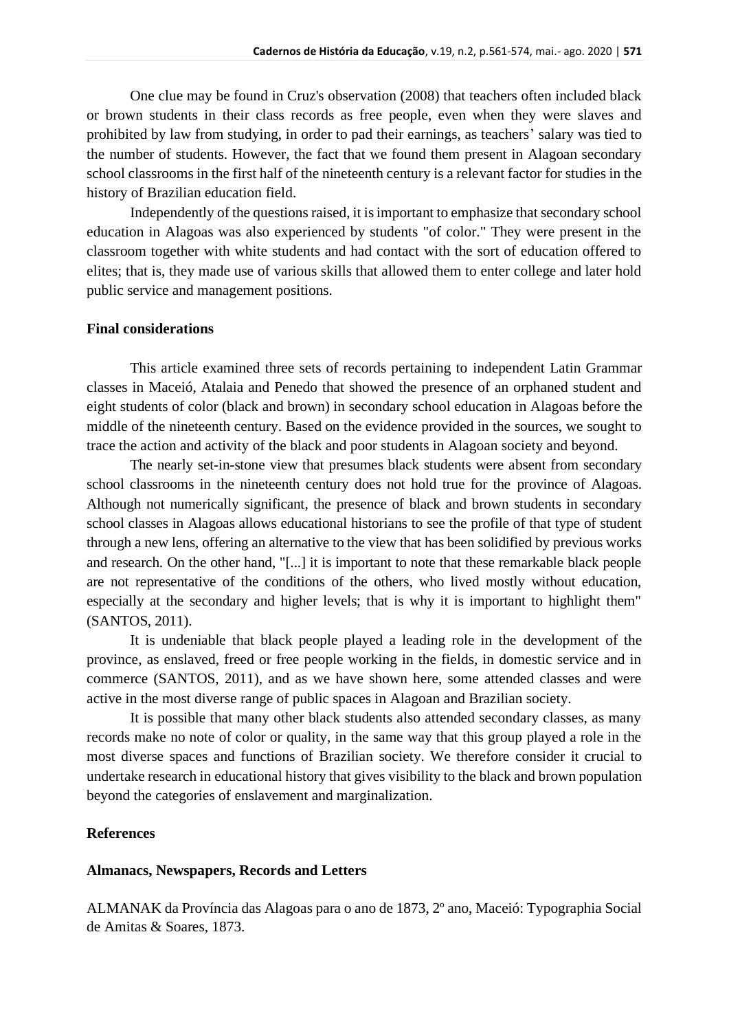One clue may be found in Cruz's observation (2008) that teachers often included black or brown students in their class records as free people, even when they were slaves and prohibited by law from studying, in order to pad their earnings, as teachers' salary was tied to the number of students. However, the fact that we found them present in Alagoan secondary school classrooms in the first half of the nineteenth century is a relevant factor for studies in the history of Brazilian education field.

Independently of the questions raised, it is important to emphasize that secondary school education in Alagoas was also experienced by students "of color." They were present in the classroom together with white students and had contact with the sort of education offered to elites; that is, they made use of various skills that allowed them to enter college and later hold public service and management positions.

#### **Final considerations**

This article examined three sets of records pertaining to independent Latin Grammar classes in Maceió, Atalaia and Penedo that showed the presence of an orphaned student and eight students of color (black and brown) in secondary school education in Alagoas before the middle of the nineteenth century. Based on the evidence provided in the sources, we sought to trace the action and activity of the black and poor students in Alagoan society and beyond.

The nearly set-in-stone view that presumes black students were absent from secondary school classrooms in the nineteenth century does not hold true for the province of Alagoas. Although not numerically significant, the presence of black and brown students in secondary school classes in Alagoas allows educational historians to see the profile of that type of student through a new lens, offering an alternative to the view that has been solidified by previous works and research. On the other hand, "[...] it is important to note that these remarkable black people are not representative of the conditions of the others, who lived mostly without education, especially at the secondary and higher levels; that is why it is important to highlight them" (SANTOS, 2011).

It is undeniable that black people played a leading role in the development of the province, as enslaved, freed or free people working in the fields, in domestic service and in commerce (SANTOS, 2011), and as we have shown here, some attended classes and were active in the most diverse range of public spaces in Alagoan and Brazilian society.

It is possible that many other black students also attended secondary classes, as many records make no note of color or quality, in the same way that this group played a role in the most diverse spaces and functions of Brazilian society. We therefore consider it crucial to undertake research in educational history that gives visibility to the black and brown population beyond the categories of enslavement and marginalization.

### **References**

#### **Almanacs, Newspapers, Records and Letters**

ALMANAK da Província das Alagoas para o ano de 1873, 2º ano, Maceió: Typographia Social de Amitas & Soares, 1873.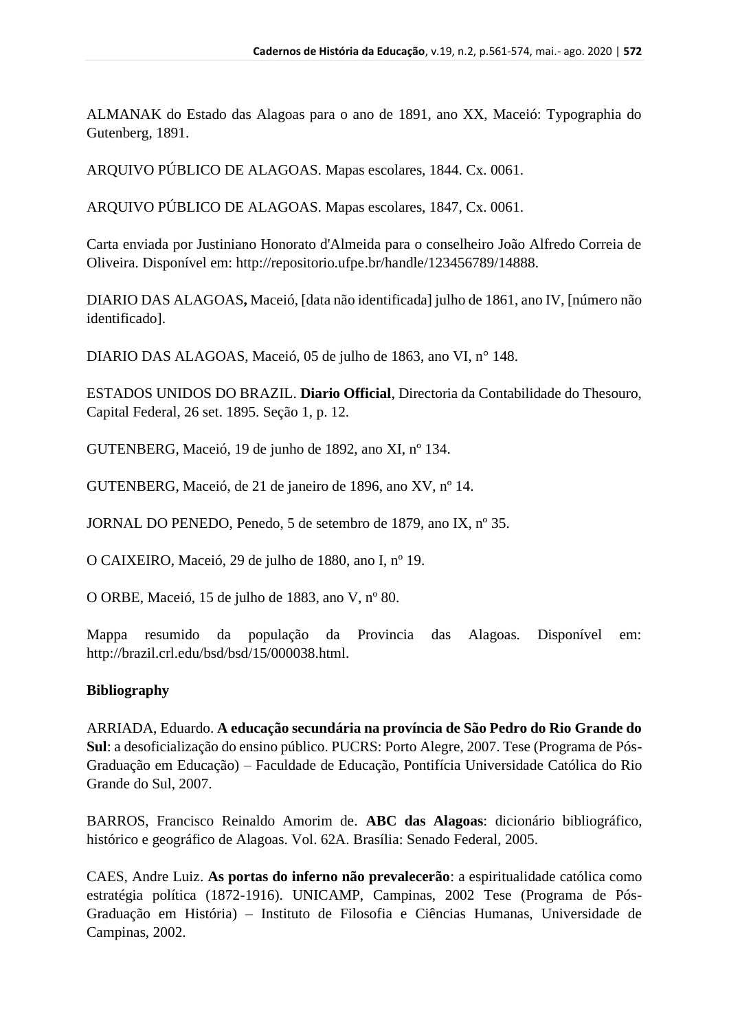ALMANAK do Estado das Alagoas para o ano de 1891, ano XX, Maceió: Typographia do Gutenberg, 1891.

ARQUIVO PÚBLICO DE ALAGOAS. Mapas escolares, 1844. Cx. 0061.

ARQUIVO PÚBLICO DE ALAGOAS. Mapas escolares, 1847, Cx. 0061.

Carta enviada por Justiniano Honorato d'Almeida para o conselheiro João Alfredo Correia de Oliveira. Disponível em: http://repositorio.ufpe.br/handle/123456789/14888.

DIARIO DAS ALAGOAS**,** Maceió, [data não identificada] julho de 1861, ano IV, [número não identificado].

DIARIO DAS ALAGOAS, Maceió, 05 de julho de 1863, ano VI, n° 148.

ESTADOS UNIDOS DO BRAZIL. **Diario Official**, Directoria da Contabilidade do Thesouro, Capital Federal, 26 set. 1895. Seção 1, p. 12.

GUTENBERG, Maceió, 19 de junho de 1892, ano XI, nº 134.

GUTENBERG, Maceió, de 21 de janeiro de 1896, ano XV, nº 14.

JORNAL DO PENEDO, Penedo, 5 de setembro de 1879, ano IX, nº 35.

O CAIXEIRO, Maceió, 29 de julho de 1880, ano I, nº 19.

O ORBE, Maceió, 15 de julho de 1883, ano V, nº 80.

Mappa resumido da população da Provincia das Alagoas. Disponível em: http://brazil.crl.edu/bsd/bsd/15/000038.html.

### **Bibliography**

ARRIADA, Eduardo. **A educação secundária na província de São Pedro do Rio Grande do Sul**: a desoficialização do ensino público. PUCRS: Porto Alegre, 2007. Tese (Programa de Pós-Graduação em Educação) – Faculdade de Educação, Pontifícia Universidade Católica do Rio Grande do Sul, 2007.

BARROS, Francisco Reinaldo Amorim de. **ABC das Alagoas**: dicionário bibliográfico, histórico e geográfico de Alagoas. Vol. 62A. Brasília: Senado Federal, 2005.

CAES, Andre Luiz. **As portas do inferno não prevalecerão**: a espiritualidade católica como estratégia política (1872-1916). UNICAMP, Campinas, 2002 Tese (Programa de Pós-Graduação em História) – Instituto de Filosofia e Ciências Humanas, Universidade de Campinas, 2002.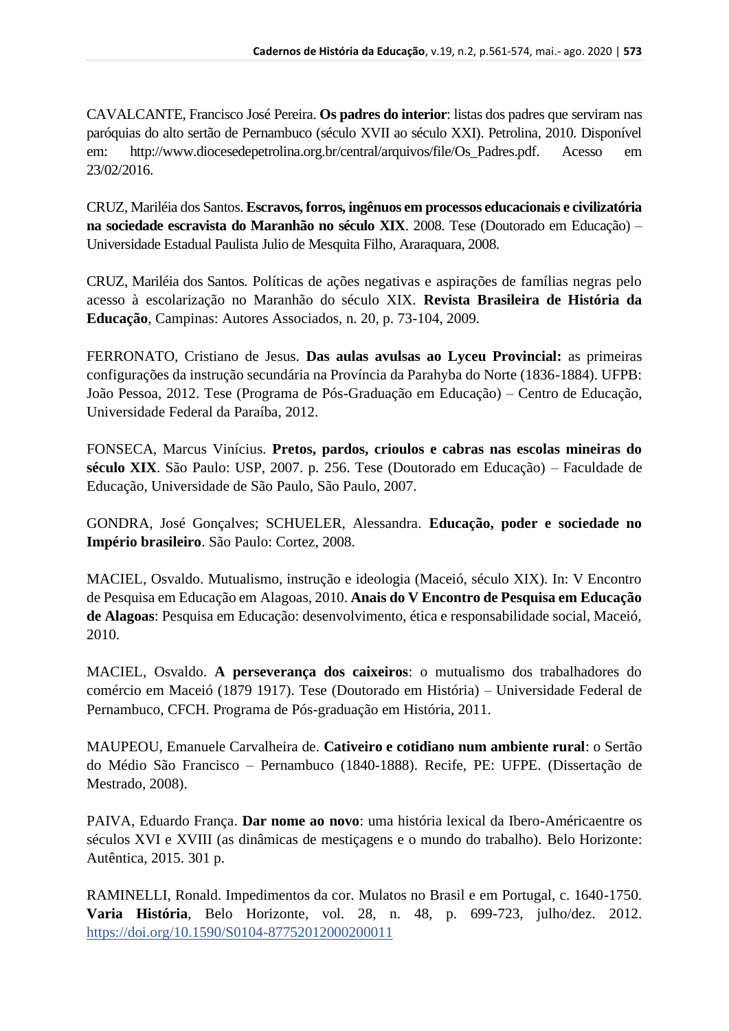CAVALCANTE, Francisco José Pereira. **Os padres do interior**: listas dos padres que serviram nas paróquias do alto sertão de Pernambuco (século XVII ao século XXI). Petrolina, 2010. Disponível em: http://www.diocesedepetrolina.org.br/central/arquivos/file/Os\_Padres.pdf. Acesso em 23/02/2016.

CRUZ, Mariléia dos Santos. **Escravos, forros, ingênuos em processos educacionais e civilizatória na sociedade escravista do Maranhão no século XIX**. 2008. Tese (Doutorado em Educação) – Universidade Estadual Paulista Julio de Mesquita Filho, Araraquara, 2008.

CRUZ, Mariléia dos Santos. Políticas de ações negativas e aspirações de famílias negras pelo acesso à escolarização no Maranhão do século XIX. **Revista Brasileira de História da Educação**, Campinas: Autores Associados, n. 20, p. 73-104, 2009.

FERRONATO, Cristiano de Jesus. **Das aulas avulsas ao Lyceu Provincial:** as primeiras configurações da instrução secundária na Província da Parahyba do Norte (1836-1884). UFPB: João Pessoa, 2012. Tese (Programa de Pós-Graduação em Educação) – Centro de Educação, Universidade Federal da Paraíba, 2012.

FONSECA, Marcus Vinícius. **Pretos, pardos, crioulos e cabras nas escolas mineiras do século XIX**. São Paulo: USP, 2007. p. 256. Tese (Doutorado em Educação) – Faculdade de Educação, Universidade de São Paulo, São Paulo, 2007.

GONDRA, José Gonçalves; SCHUELER, Alessandra. **Educação, poder e sociedade no Império brasileiro**. São Paulo: Cortez, 2008.

MACIEL, Osvaldo. Mutualismo, instrução e ideologia (Maceió, século XIX). In: V Encontro de Pesquisa em Educação em Alagoas, 2010. **Anais do V Encontro de Pesquisa em Educação de Alagoas**: Pesquisa em Educação: desenvolvimento, ética e responsabilidade social, Maceió, 2010.

MACIEL, Osvaldo. **A perseverança dos caixeiros**: o mutualismo dos trabalhadores do comércio em Maceió (1879 1917). Tese (Doutorado em História) – Universidade Federal de Pernambuco, CFCH. Programa de Pós-graduação em História, 2011.

MAUPEOU, Emanuele Carvalheira de. **Cativeiro e cotidiano num ambiente rural**: o Sertão do Médio São Francisco – Pernambuco (1840-1888). Recife, PE: UFPE. (Dissertação de Mestrado, 2008).

PAIVA, Eduardo França. **Dar nome ao novo**: uma história lexical da Ibero-Américaentre os séculos XVI e XVIII (as dinâmicas de mestiçagens e o mundo do trabalho). Belo Horizonte: Autêntica, 2015. 301 p.

RAMINELLI, Ronald. Impedimentos da cor. Mulatos no Brasil e em Portugal, c. 1640-1750. **Varia História**, Belo Horizonte, vol. 28, n. 48, p. 699-723, julho/dez. 2012. <https://doi.org/10.1590/S0104-87752012000200011>